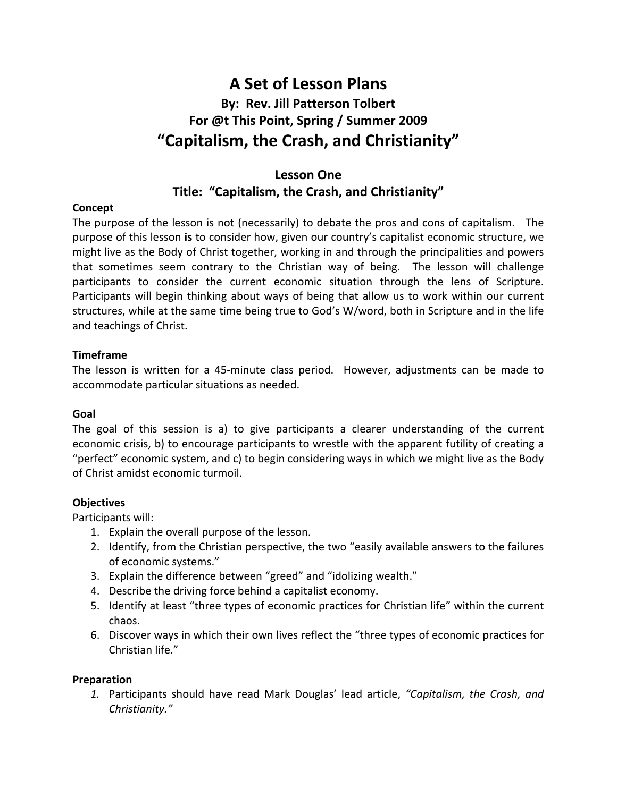# **A Set of Lesson Plans By: Rev. Jill Patterson Tolbert For @t This Point, Spring / Summer 2009 "Capitalism, the Crash, and Christianity"**

## **Lesson One Title: "Capitalism, the Crash, and Christianity"**

### **Concept**

The purpose of the lesson is not (necessarily) to debate the pros and cons of capitalism. The purpose of this lesson **is** to consider how, given our country's capitalist economic structure, we might live as the Body of Christ together, working in and through the principalities and powers that sometimes seem contrary to the Christian way of being. The lesson will challenge participants to consider the current economic situation through the lens of Scripture. Participants will begin thinking about ways of being that allow us to work within our current structures, while at the same time being true to God's W/word, both in Scripture and in the life and teachings of Christ.

#### **Timeframe**

The lesson is written for a 45-minute class period. However, adjustments can be made to accommodate particular situations as needed.

#### **Goal**

The goal of this session is a) to give participants a clearer understanding of the current economic crisis, b) to encourage participants to wrestle with the apparent futility of creating a "perfect" economic system, and c) to begin considering ways in which we might live as the Body of Christ amidst economic turmoil.

#### **Objectives**

Participants will:

- 1. Explain the overall purpose of the lesson.
- 2. Identify, from the Christian perspective, the two "easily available answers to the failures of economic systems."
- 3. Explain the difference between "greed" and "idolizing wealth."
- 4. Describe the driving force behind a capitalist economy.
- 5. Identify at least "three types of economic practices for Christian life" within the current chaos.
- 6. Discover ways in which their own lives reflect the "three types of economic practices for Christian life."

#### **Preparation**

*1.* Participants should have read Mark Douglas' lead article, *"Capitalism, the Crash, and Christianity."*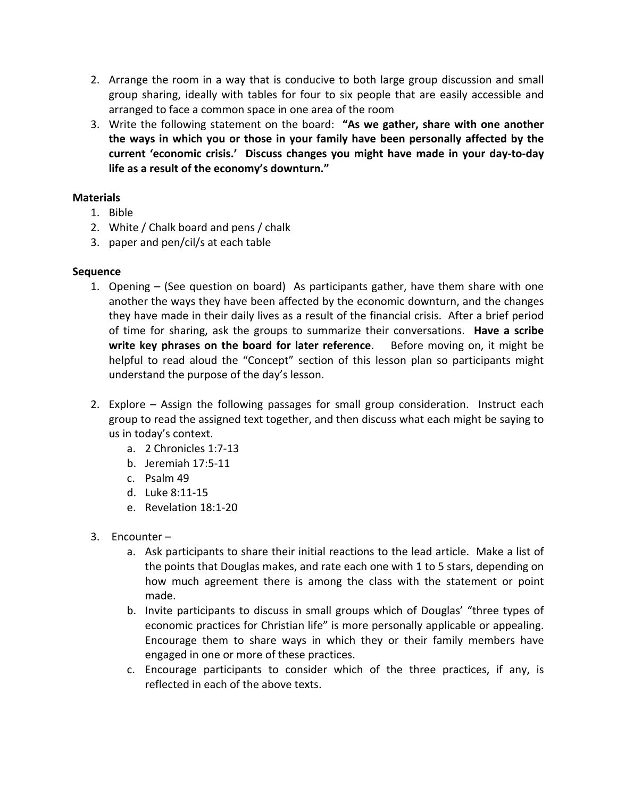- 2. Arrange the room in a way that is conducive to both large group discussion and small group sharing, ideally with tables for four to six people that are easily accessible and arranged to face a common space in one area of the room
- 3. Write the following statement on the board: **"As we gather, share with one another the ways in which you or those in your family have been personally affected by the current 'economic crisis.' Discuss changes you might have made in your day-to-day life as a result of the economy's downturn."**

### **Materials**

- 1. Bible
- 2. White / Chalk board and pens / chalk
- 3. paper and pen/cil/s at each table

#### **Sequence**

- 1. Opening (See question on board) As participants gather, have them share with one another the ways they have been affected by the economic downturn, and the changes they have made in their daily lives as a result of the financial crisis. After a brief period of time for sharing, ask the groups to summarize their conversations. **Have a scribe write key phrases on the board for later reference**. Before moving on, it might be helpful to read aloud the "Concept" section of this lesson plan so participants might understand the purpose of the day's lesson.
- 2. Explore Assign the following passages for small group consideration. Instruct each group to read the assigned text together, and then discuss what each might be saying to us in today's context.
	- a. 2 Chronicles 1:7-13
	- b. Jeremiah 17:5-11
	- c. Psalm 49
	- d. Luke 8:11-15
	- e. Revelation 18:1-20
- 3. Encounter
	- a. Ask participants to share their initial reactions to the lead article. Make a list of the points that Douglas makes, and rate each one with 1 to 5 stars, depending on how much agreement there is among the class with the statement or point made.
	- b. Invite participants to discuss in small groups which of Douglas' "three types of economic practices for Christian life" is more personally applicable or appealing. Encourage them to share ways in which they or their family members have engaged in one or more of these practices.
	- c. Encourage participants to consider which of the three practices, if any, is reflected in each of the above texts.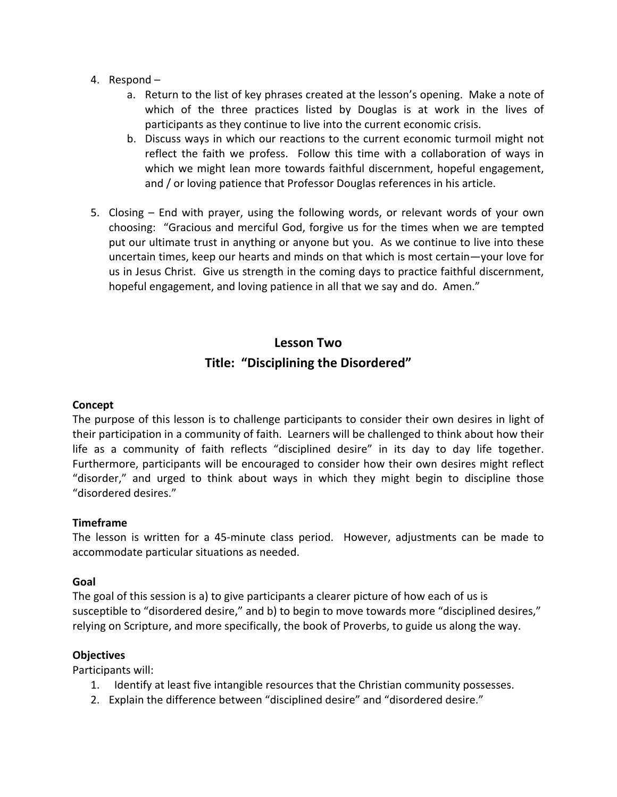- 4. Respond
	- a. Return to the list of key phrases created at the lesson's opening. Make a note of which of the three practices listed by Douglas is at work in the lives of participants as they continue to live into the current economic crisis.
	- b. Discuss ways in which our reactions to the current economic turmoil might not reflect the faith we profess. Follow this time with a collaboration of ways in which we might lean more towards faithful discernment, hopeful engagement, and / or loving patience that Professor Douglas references in his article.
- 5. Closing End with prayer, using the following words, or relevant words of your own choosing: "Gracious and merciful God, forgive us for the times when we are tempted put our ultimate trust in anything or anyone but you. As we continue to live into these uncertain times, keep our hearts and minds on that which is most certain—your love for us in Jesus Christ. Give us strength in the coming days to practice faithful discernment, hopeful engagement, and loving patience in all that we say and do. Amen."

## **Lesson Two Title: "Disciplining the Disordered"**

#### **Concept**

The purpose of this lesson is to challenge participants to consider their own desires in light of their participation in a community of faith. Learners will be challenged to think about how their life as a community of faith reflects "disciplined desire" in its day to day life together. Furthermore, participants will be encouraged to consider how their own desires might reflect "disorder," and urged to think about ways in which they might begin to discipline those "disordered desires."

#### **Timeframe**

The lesson is written for a 45-minute class period. However, adjustments can be made to accommodate particular situations as needed.

#### **Goal**

The goal of this session is a) to give participants a clearer picture of how each of us is susceptible to "disordered desire," and b) to begin to move towards more "disciplined desires," relying on Scripture, and more specifically, the book of Proverbs, to guide us along the way.

#### **Objectives**

Participants will:

- 1. Identify at least five intangible resources that the Christian community possesses.
- 2. Explain the difference between "disciplined desire" and "disordered desire."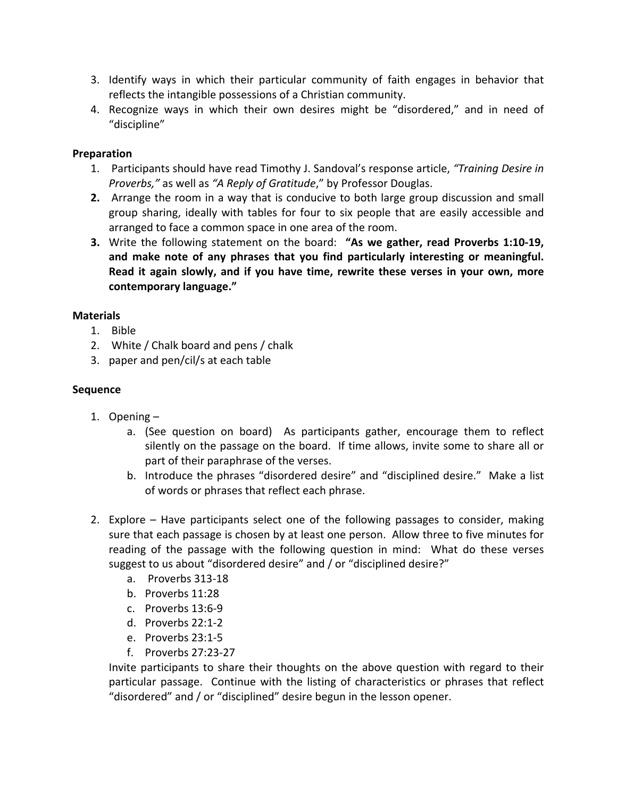- 3. Identify ways in which their particular community of faith engages in behavior that reflects the intangible possessions of a Christian community.
- 4. Recognize ways in which their own desires might be "disordered," and in need of "discipline"

### **Preparation**

- 1. Participants should have read Timothy J. Sandoval's response article, *"Training Desire in Proverbs,"* as well as *"A Reply of Gratitude*," by Professor Douglas.
- **2.** Arrange the room in a way that is conducive to both large group discussion and small group sharing, ideally with tables for four to six people that are easily accessible and arranged to face a common space in one area of the room.
- **3.** Write the following statement on the board: **"As we gather, read Proverbs 1:10-19, and make note of any phrases that you find particularly interesting or meaningful. Read it again slowly, and if you have time, rewrite these verses in your own, more contemporary language."**

### **Materials**

- 1. Bible
- 2. White / Chalk board and pens / chalk
- 3. paper and pen/cil/s at each table

### **Sequence**

- 1. Opening
	- a. (See question on board) As participants gather, encourage them to reflect silently on the passage on the board. If time allows, invite some to share all or part of their paraphrase of the verses.
	- b. Introduce the phrases "disordered desire" and "disciplined desire." Make a list of words or phrases that reflect each phrase.
- 2. Explore Have participants select one of the following passages to consider, making sure that each passage is chosen by at least one person. Allow three to five minutes for reading of the passage with the following question in mind: What do these verses suggest to us about "disordered desire" and / or "disciplined desire?"
	- a. Proverbs 313-18
	- b. Proverbs 11:28
	- c. Proverbs 13:6-9
	- d. Proverbs 22:1-2
	- e. Proverbs 23:1-5
	- f. Proverbs 27:23-27

Invite participants to share their thoughts on the above question with regard to their particular passage. Continue with the listing of characteristics or phrases that reflect "disordered" and / or "disciplined" desire begun in the lesson opener.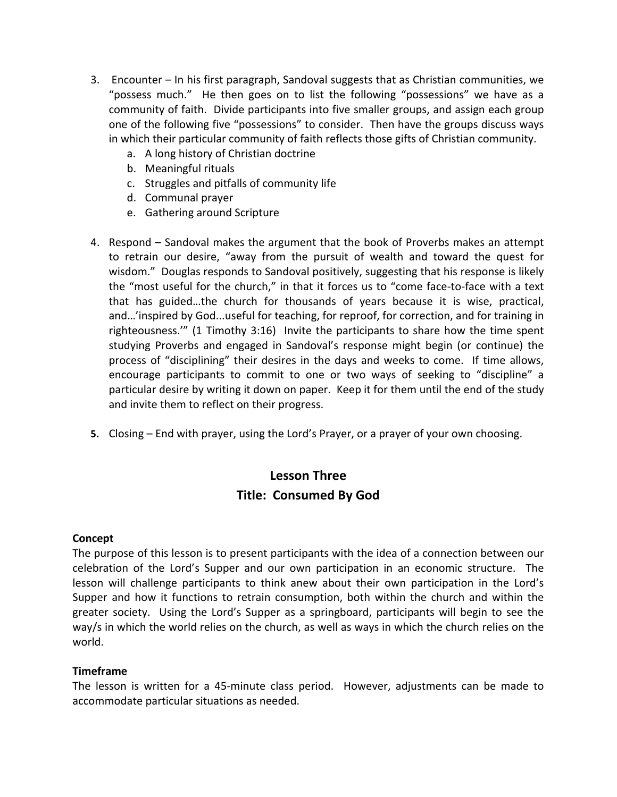- 3. Encounter In his first paragraph, Sandoval suggests that as Christian communities, we "possess much." He then goes on to list the following "possessions" we have as a community of faith. Divide participants into five smaller groups, and assign each group one of the following five "possessions" to consider. Then have the groups discuss ways in which their particular community of faith reflects those gifts of Christian community.
	- a. A long history of Christian doctrine
	- b. Meaningful rituals
	- c. Struggles and pitfalls of community life
	- d. Communal prayer
	- e. Gathering around Scripture
- 4. Respond Sandoval makes the argument that the book of Proverbs makes an attempt to retrain our desire, "away from the pursuit of wealth and toward the quest for wisdom." Douglas responds to Sandoval positively, suggesting that his response is likely the "most useful for the church," in that it forces us to "come face-to-face with a text that has guided…the church for thousands of years because it is wise, practical, and…'inspired by God...useful for teaching, for reproof, for correction, and for training in righteousness.'" (1 Timothy 3:16) Invite the participants to share how the time spent studying Proverbs and engaged in Sandoval's response might begin (or continue) the process of "disciplining" their desires in the days and weeks to come. If time allows, encourage participants to commit to one or two ways of seeking to "discipline" a particular desire by writing it down on paper. Keep it for them until the end of the study and invite them to reflect on their progress.
- **5.** Closing End with prayer, using the Lord's Prayer, or a prayer of your own choosing.

## **Lesson Three Title: Consumed By God**

#### **Concept**

The purpose of this lesson is to present participants with the idea of a connection between our celebration of the Lord's Supper and our own participation in an economic structure. The lesson will challenge participants to think anew about their own participation in the Lord's Supper and how it functions to retrain consumption, both within the church and within the greater society. Using the Lord's Supper as a springboard, participants will begin to see the way/s in which the world relies on the church, as well as ways in which the church relies on the world.

## **Timeframe**

The lesson is written for a 45-minute class period. However, adjustments can be made to accommodate particular situations as needed.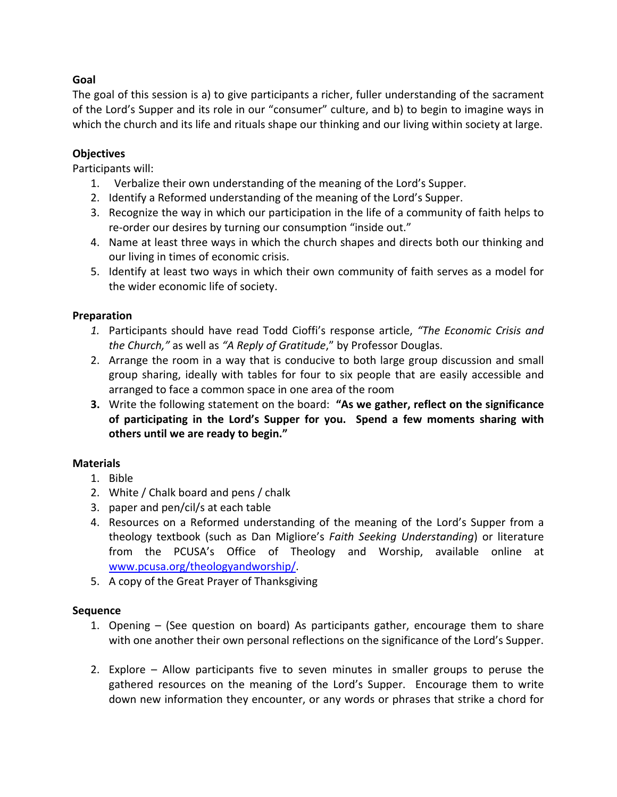## **Goal**

The goal of this session is a) to give participants a richer, fuller understanding of the sacrament of the Lord's Supper and its role in our "consumer" culture, and b) to begin to imagine ways in which the church and its life and rituals shape our thinking and our living within society at large.

### **Objectives**

Participants will:

- 1. Verbalize their own understanding of the meaning of the Lord's Supper.
- 2. Identify a Reformed understanding of the meaning of the Lord's Supper.
- 3. Recognize the way in which our participation in the life of a community of faith helps to re-order our desires by turning our consumption "inside out."
- 4. Name at least three ways in which the church shapes and directs both our thinking and our living in times of economic crisis.
- 5. Identify at least two ways in which their own community of faith serves as a model for the wider economic life of society.

### **Preparation**

- *1.* Participants should have read Todd Cioffi's response article, *"The Economic Crisis and the Church,"* as well as *"A Reply of Gratitude*," by Professor Douglas.
- 2. Arrange the room in a way that is conducive to both large group discussion and small group sharing, ideally with tables for four to six people that are easily accessible and arranged to face a common space in one area of the room
- **3.** Write the following statement on the board: **"As we gather, reflect on the significance of participating in the Lord's Supper for you. Spend a few moments sharing with others until we are ready to begin."**

#### **Materials**

- 1. Bible
- 2. White / Chalk board and pens / chalk
- 3. paper and pen/cil/s at each table
- 4. Resources on a Reformed understanding of the meaning of the Lord's Supper from a theology textbook (such as Dan Migliore's *Faith Seeking Understanding*) or literature from the PCUSA's Office of Theology and Worship, available online at www.pcusa.org/theologyandworship/.
- 5. A copy of the Great Prayer of Thanksgiving

#### **Sequence**

- 1. Opening (See question on board) As participants gather, encourage them to share with one another their own personal reflections on the significance of the Lord's Supper.
- 2. Explore Allow participants five to seven minutes in smaller groups to peruse the gathered resources on the meaning of the Lord's Supper. Encourage them to write down new information they encounter, or any words or phrases that strike a chord for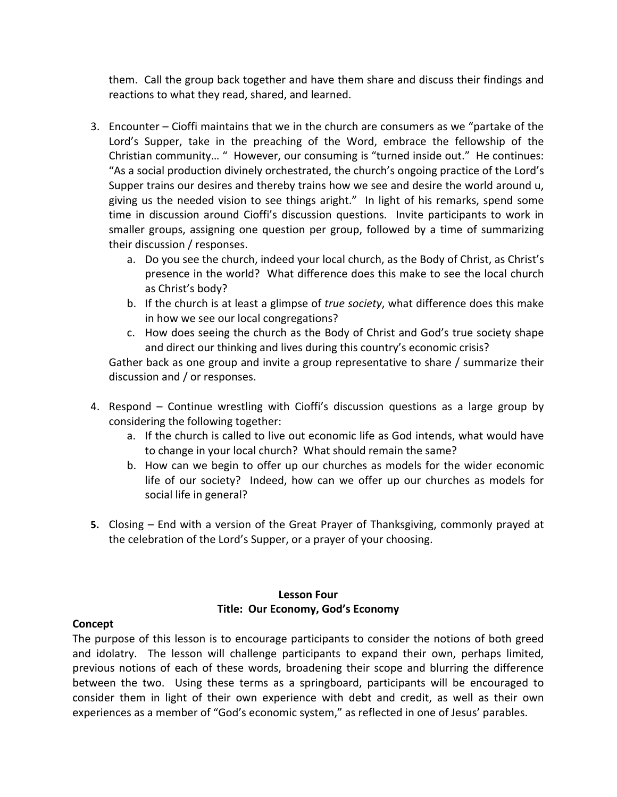them. Call the group back together and have them share and discuss their findings and reactions to what they read, shared, and learned.

- 3. Encounter Cioffi maintains that we in the church are consumers as we "partake of the Lord's Supper, take in the preaching of the Word, embrace the fellowship of the Christian community… " However, our consuming is "turned inside out." He continues: "As a social production divinely orchestrated, the church's ongoing practice of the Lord's Supper trains our desires and thereby trains how we see and desire the world around u, giving us the needed vision to see things aright." In light of his remarks, spend some time in discussion around Cioffi's discussion questions. Invite participants to work in smaller groups, assigning one question per group, followed by a time of summarizing their discussion / responses.
	- a. Do you see the church, indeed your local church, as the Body of Christ, as Christ's presence in the world? What difference does this make to see the local church as Christ's body?
	- b. If the church is at least a glimpse of *true society*, what difference does this make in how we see our local congregations?
	- c. How does seeing the church as the Body of Christ and God's true society shape and direct our thinking and lives during this country's economic crisis?

Gather back as one group and invite a group representative to share / summarize their discussion and / or responses.

- 4. Respond Continue wrestling with Cioffi's discussion questions as a large group by considering the following together:
	- a. If the church is called to live out economic life as God intends, what would have to change in your local church? What should remain the same?
	- b. How can we begin to offer up our churches as models for the wider economic life of our society? Indeed, how can we offer up our churches as models for social life in general?
- **5.** Closing End with a version of the Great Prayer of Thanksgiving, commonly prayed at the celebration of the Lord's Supper, or a prayer of your choosing.

## **Lesson Four Title: Our Economy, God's Economy**

#### **Concept**

The purpose of this lesson is to encourage participants to consider the notions of both greed and idolatry. The lesson will challenge participants to expand their own, perhaps limited, previous notions of each of these words, broadening their scope and blurring the difference between the two. Using these terms as a springboard, participants will be encouraged to consider them in light of their own experience with debt and credit, as well as their own experiences as a member of "God's economic system," as reflected in one of Jesus' parables.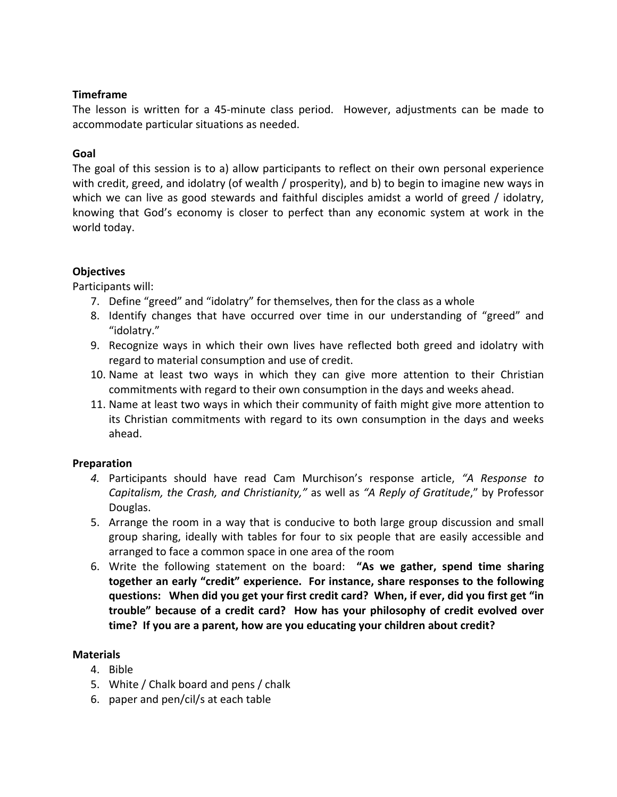#### **Timeframe**

The lesson is written for a 45-minute class period. However, adjustments can be made to accommodate particular situations as needed.

#### **Goal**

The goal of this session is to a) allow participants to reflect on their own personal experience with credit, greed, and idolatry (of wealth / prosperity), and b) to begin to imagine new ways in which we can live as good stewards and faithful disciples amidst a world of greed / idolatry, knowing that God's economy is closer to perfect than any economic system at work in the world today.

## **Objectives**

Participants will:

- 7. Define "greed" and "idolatry" for themselves, then for the class as a whole
- 8. Identify changes that have occurred over time in our understanding of "greed" and "idolatry."
- 9. Recognize ways in which their own lives have reflected both greed and idolatry with regard to material consumption and use of credit.
- 10. Name at least two ways in which they can give more attention to their Christian commitments with regard to their own consumption in the days and weeks ahead.
- 11. Name at least two ways in which their community of faith might give more attention to its Christian commitments with regard to its own consumption in the days and weeks ahead.

#### **Preparation**

- *4.* Participants should have read Cam Murchison's response article, *"A Response to Capitalism, the Crash, and Christianity,"* as well as *"A Reply of Gratitude*," by Professor Douglas.
- 5. Arrange the room in a way that is conducive to both large group discussion and small group sharing, ideally with tables for four to six people that are easily accessible and arranged to face a common space in one area of the room
- 6. Write the following statement on the board: **"As we gather, spend time sharing together an early "credit" experience. For instance, share responses to the following questions: When did you get your first credit card? When, if ever, did you first get "in trouble" because of a credit card? How has your philosophy of credit evolved over time? If you are a parent, how are you educating your children about credit?**

#### **Materials**

- 4. Bible
- 5. White / Chalk board and pens / chalk
- 6. paper and pen/cil/s at each table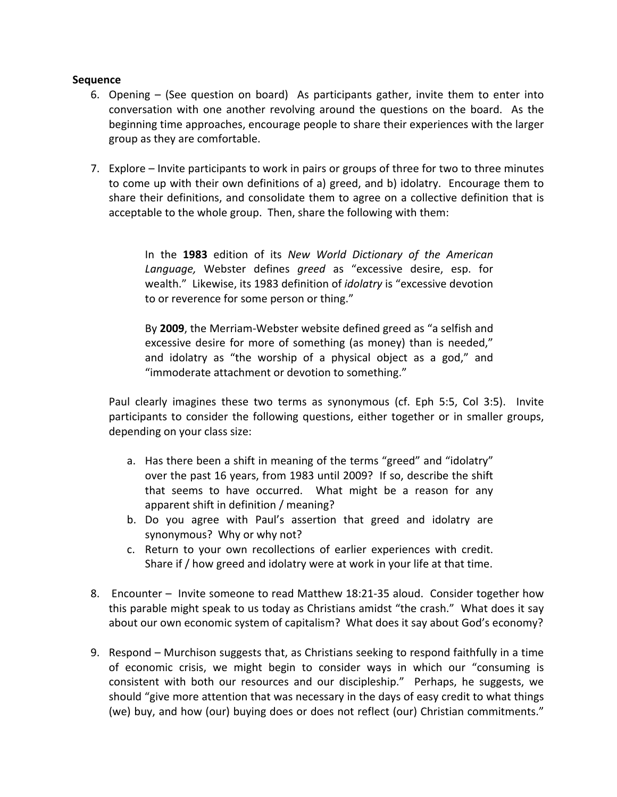#### **Sequence**

- 6. Opening (See question on board) As participants gather, invite them to enter into conversation with one another revolving around the questions on the board. As the beginning time approaches, encourage people to share their experiences with the larger group as they are comfortable.
- 7. Explore Invite participants to work in pairs or groups of three for two to three minutes to come up with their own definitions of a) greed, and b) idolatry. Encourage them to share their definitions, and consolidate them to agree on a collective definition that is acceptable to the whole group. Then, share the following with them:

In the **1983** edition of its *New World Dictionary of the American Language,* Webster defines *greed* as "excessive desire, esp. for wealth." Likewise, its 1983 definition of *idolatry* is "excessive devotion to or reverence for some person or thing."

By **2009**, the Merriam-Webster website defined greed as "a selfish and excessive desire for more of something (as money) than is needed," and idolatry as "the worship of a physical object as a god," and "immoderate attachment or devotion to something."

Paul clearly imagines these two terms as synonymous (cf. Eph 5:5, Col 3:5). Invite participants to consider the following questions, either together or in smaller groups, depending on your class size:

- a. Has there been a shift in meaning of the terms "greed" and "idolatry" over the past 16 years, from 1983 until 2009? If so, describe the shift that seems to have occurred. What might be a reason for any apparent shift in definition / meaning?
- b. Do you agree with Paul's assertion that greed and idolatry are synonymous? Why or why not?
- c. Return to your own recollections of earlier experiences with credit. Share if / how greed and idolatry were at work in your life at that time.
- 8. Encounter Invite someone to read Matthew 18:21-35 aloud. Consider together how this parable might speak to us today as Christians amidst "the crash." What does it say about our own economic system of capitalism? What does it say about God's economy?
- 9. Respond Murchison suggests that, as Christians seeking to respond faithfully in a time of economic crisis, we might begin to consider ways in which our "consuming is consistent with both our resources and our discipleship." Perhaps, he suggests, we should "give more attention that was necessary in the days of easy credit to what things (we) buy, and how (our) buying does or does not reflect (our) Christian commitments."